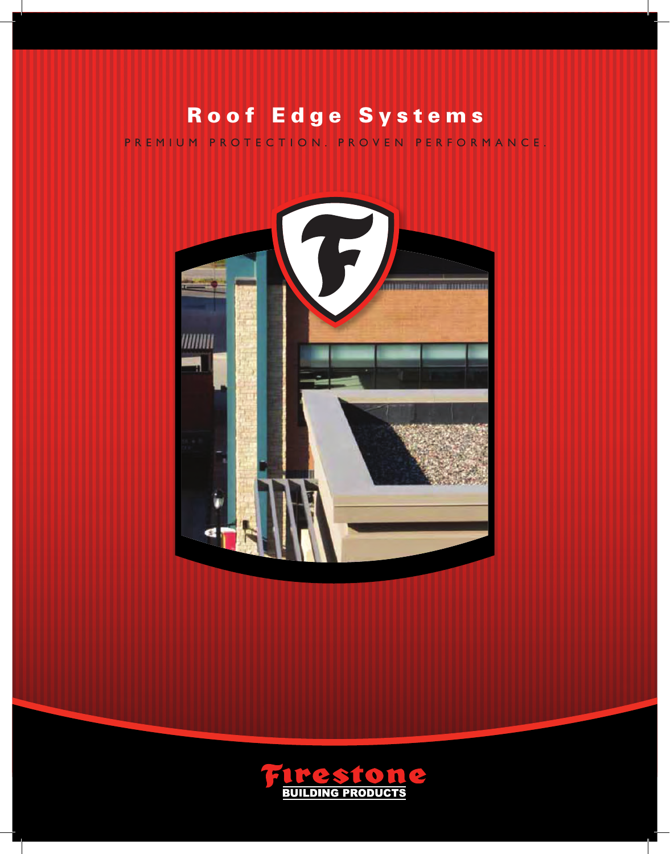## Roof Edge Systems

PREMIUM PROTECTION. PROVEN PERFORMANCE.



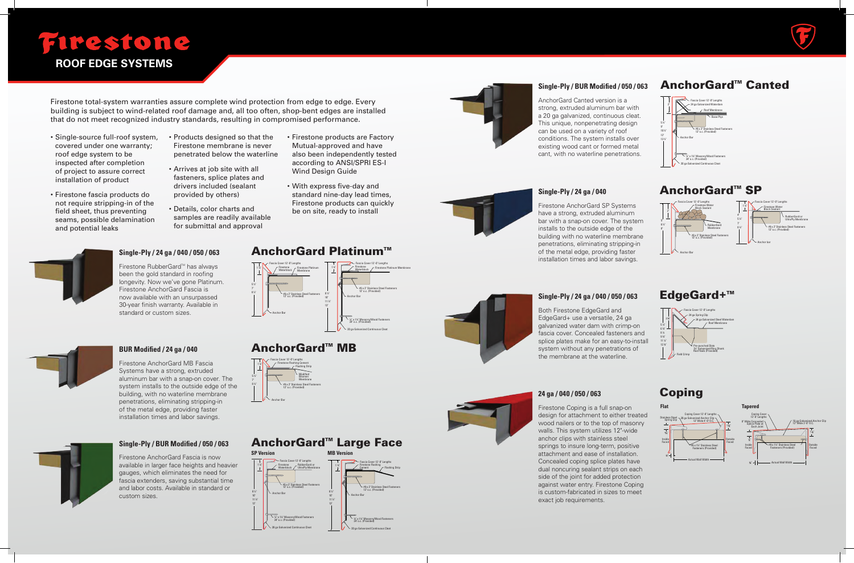#### **Single-Ply / 24 ga / 040 / 050 / 063**

Firestone RubberGard™ has always been the gold standard in roofing longevity. Now we've gone Platinum. Firestone AnchorGard Fascia is now available with an unsurpassed 30-year finish warranty. Available in standard or custom sizes.

# *F*irestone

**ROOF EDGE SYSTEMS**

Firestone total-system warranties assure complete wind protection from edge to edge. Every building is subject to wind-related roof damage and, all too often, shop-bent edges are installed that do not meet recognized industry standards, resulting in compromised performance.

- Single-source full-roof system, covered under one warranty; roof edge system to be inspected after completion of project to assure correct installation of product
- Firestone fascia products do not require stripping-in of the field sheet, thus preventing seams, possible delamination and potential leaks
- Products designed so that the Firestone membrane is never penetrated below the waterline
- Arrives at job site with all fasteners, splice plates and drivers included (sealant provided by others)
- Details, color charts and samples are readily available for submittal and approval
- Firestone products are Factory Mutual-approved and have also been independently tested according to ANSI/SPRI ES-I Wind Design Guide
- With express five-day and standard nine-day lead times, Firestone products can quickly be on site, ready to install



## **BUR Modified / 24 ga / 040**



#### Firestone AnchorGard MB Fascia

Systems have a strong, extruded aluminum bar with a snap-on cover. The system installs to the outside edge of the building, with no waterline membrane penetrations, eliminating stripping-in of the metal edge, providing faster installation times and labor savings.



### **AnchorGard™ Canted**

#### **Single-Ply / BUR Modified / 050 / 063**

Firestone AnchorGard Fascia is now available in larger face heights and heavier gauges, which eliminates the need for fascia extenders, saving substantial time and labor costs. Available in standard or custom sizes.

#### AnchorGard™ Large Face

#### **Single-Ply / BUR Modified / 050 / 063**

AnchorGard Canted version is a strong, extruded aluminum bar with a 20 ga galvanized, continuous cleat. This unique, nonpenetrating design can be used on a variety of roof conditions. The system installs over existing wood cant or formed metal cant, with no waterline penetrations.

## **Single-Ply / 24 ga / 040**  Firestone AnchorGard SP Systems

have a strong, extruded aluminum bar with a snap-on cover. The system installs to the outside edge of the building with no waterline membrane penetrations, eliminating stripping-in of the metal edge, providing faster installation times and labor savings.



#### **Single-Ply / 24 ga / 040 / 050 / 063**

Both Firestone EdgeGard and EdgeGard+ use a versatile, 24 ga galvanized water dam with crimp-on fascia cover. Concealed fasteners and splice plates make for an easy-to-install system without any penetrations of the membrane at the waterline.



Firestone Coping is a full snap-on design for attachment to either treated wood nailers or to the top of masonry walls. This system utilizes 12"-wide anchor clips with stainless steel springs to insure long-term, positive attachment and ease of installation. Concealed coping splice plates have dual noncuring sealant strips on each side of the joint for added protection against water entry. Firestone Coping is custom-fabricated in sizes to meet exact job requirements.



### **AnchorGard™ MB**







AnchorGard<sup>™</sup> SP



#### EdgeGard+<sup>™</sup>



### Coping



**MB Version** Firestone Flashing <u>Ce</u>ment Fascia Cover 12'-0" Lengths 1 ¼" #9 x 2" Stainless Steel Fasteners

> ¼" x 1¼" Masonry/Wood Fasteners 24" o.c. (Provided)





Flashing Strip

12" o.c. (Provided)